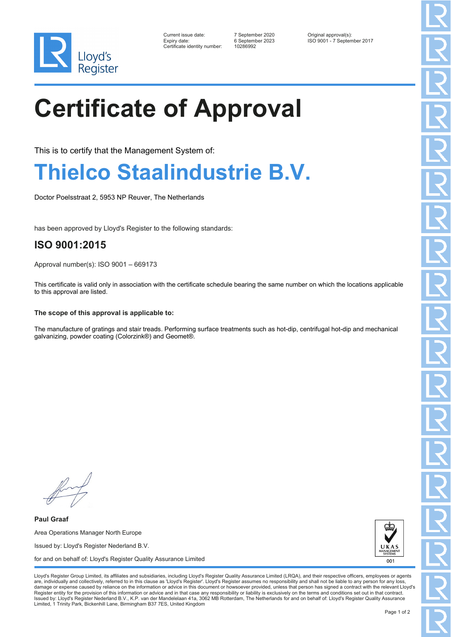

| Current issue date:         |
|-----------------------------|
| Expiry date:                |
| Certificate identity number |

Certificate identity number: 10286992

Current issue date: 7 September 2020 Original approval(s): Expiry date: 6 September 2023 ISO 9001 - 7 September 2017

# **Certificate of Approval**

This is to certify that the Management System of:

### **Thielco Staalindustrie B.V.**

Doctor Poelsstraat 2, 5953 NP Reuver, The Netherlands

has been approved by Lloyd's Register to the following standards:

### **ISO 9001:2015**

Approval number(s): ISO 9001 – 669173

This certificate is valid only in association with the certificate schedule bearing the same number on which the locations applicable to this approval are listed.

#### **The scope of this approval is applicable to:**

The manufacture of gratings and stair treads. Performing surface treatments such as hot-dip, centrifugal hot-dip and mechanical galvanizing, powder coating (Colorzink®) and Geomet®.

**Paul Graaf** Area Operations Manager North Europe Issued by: Lloyd's Register Nederland B.V. for and on behalf of: Lloyd's Register Quality Assurance Limited



Lloyd's Register Group Limited, its affiliates and subsidiaries, including Lloyd's Register Quality Assurance Limited (LRQA), and their respective officers, employees or agents are, individually and collectively, referred to in this clause as 'Lloyd's Register'. Lloyd's Register assumes no responsibility and shall not be liable to any person for any los damage or expense caused by reliance on the information or advice in this document or howsoever provided, unless that person has signed a contract with the relevant Lloyd's<br>Register entity for the provision of this informa Issued by: Lloyd's Register Nederland B.V., K.P. van der Mandelelaan 41a, 3062 MB Rotterdam, The Netherlands for and on behalf of: Lloyd's Register Quality Assurance Limited, 1 Trinity Park, Bickenhill Lane, Birmingham B37 7ES, United Kingdom